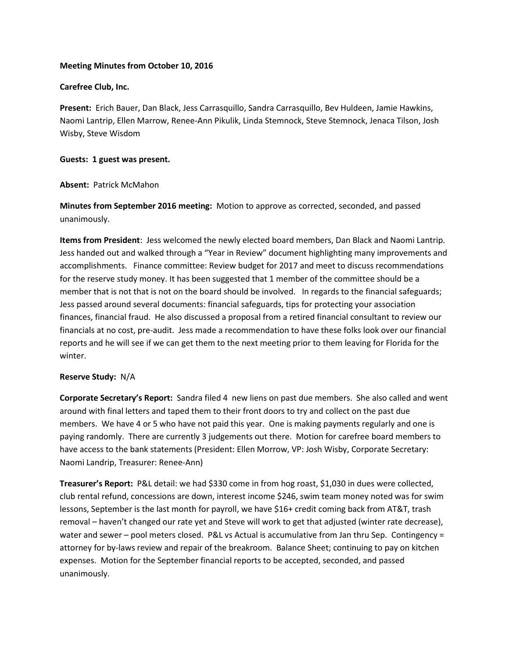# **Meeting Minutes from October 10, 2016**

### **Carefree Club, Inc.**

**Present:** Erich Bauer, Dan Black, Jess Carrasquillo, Sandra Carrasquillo, Bev Huldeen, Jamie Hawkins, Naomi Lantrip, Ellen Marrow, Renee-Ann Pikulik, Linda Stemnock, Steve Stemnock, Jenaca Tilson, Josh Wisby, Steve Wisdom

### **Guests: 1 guest was present.**

### **Absent:** Patrick McMahon

**Minutes from September 2016 meeting:** Motion to approve as corrected, seconded, and passed unanimously.

**Items from President**: Jess welcomed the newly elected board members, Dan Black and Naomi Lantrip. Jess handed out and walked through a "Year in Review" document highlighting many improvements and accomplishments. Finance committee: Review budget for 2017 and meet to discuss recommendations for the reserve study money. It has been suggested that 1 member of the committee should be a member that is not that is not on the board should be involved. In regards to the financial safeguards; Jess passed around several documents: financial safeguards, tips for protecting your association finances, financial fraud. He also discussed a proposal from a retired financial consultant to review our financials at no cost, pre-audit. Jess made a recommendation to have these folks look over our financial reports and he will see if we can get them to the next meeting prior to them leaving for Florida for the winter.

# **Reserve Study:** N/A

**Corporate Secretary's Report:** Sandra filed 4 new liens on past due members. She also called and went around with final letters and taped them to their front doors to try and collect on the past due members. We have 4 or 5 who have not paid this year. One is making payments regularly and one is paying randomly. There are currently 3 judgements out there.Motion for carefree board members to have access to the bank statements (President: Ellen Morrow, VP: Josh Wisby, Corporate Secretary: Naomi Landrip, Treasurer: Renee-Ann)

**Treasurer's Report:** P&L detail: we had \$330 come in from hog roast, \$1,030 in dues were collected, club rental refund, concessions are down, interest income \$246, swim team money noted was for swim lessons, September is the last month for payroll, we have \$16+ credit coming back from AT&T, trash removal – haven't changed our rate yet and Steve will work to get that adjusted (winter rate decrease), water and sewer – pool meters closed. P&L vs Actual is accumulative from Jan thru Sep. Contingency = attorney for by-laws review and repair of the breakroom. Balance Sheet; continuing to pay on kitchen expenses. Motion for the September financial reports to be accepted, seconded, and passed unanimously.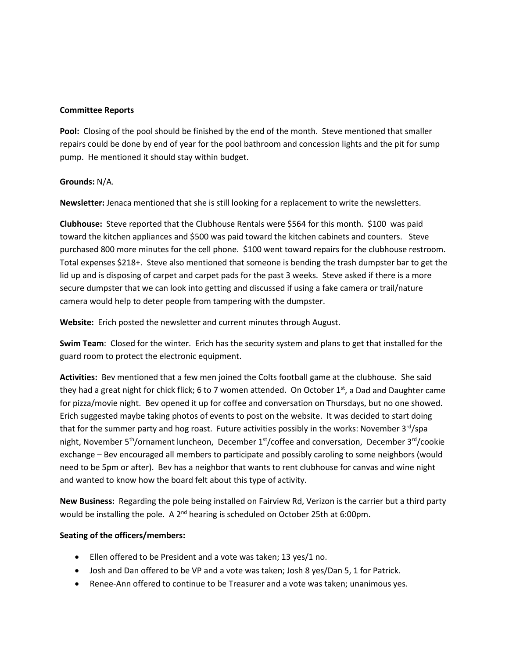### **Committee Reports**

**Pool:** Closing of the pool should be finished by the end of the month. Steve mentioned that smaller repairs could be done by end of year for the pool bathroom and concession lights and the pit for sump pump. He mentioned it should stay within budget.

# **Grounds:** N/A.

**Newsletter:** Jenaca mentioned that she is still looking for a replacement to write the newsletters.

**Clubhouse:** Steve reported that the Clubhouse Rentals were \$564 for this month. \$100 was paid toward the kitchen appliances and \$500 was paid toward the kitchen cabinets and counters. Steve purchased 800 more minutes for the cell phone. \$100 went toward repairs for the clubhouse restroom. Total expenses \$218+. Steve also mentioned that someone is bending the trash dumpster bar to get the lid up and is disposing of carpet and carpet pads for the past 3 weeks. Steve asked if there is a more secure dumpster that we can look into getting and discussed if using a fake camera or trail/nature camera would help to deter people from tampering with the dumpster.

**Website:** Erich posted the newsletter and current minutes through August.

**Swim Team**: Closed for the winter. Erich has the security system and plans to get that installed for the guard room to protect the electronic equipment.

**Activities:** Bev mentioned that a few men joined the Colts football game at the clubhouse. She said they had a great night for chick flick; 6 to 7 women attended. On October  $1^{st}$ , a Dad and Daughter came for pizza/movie night. Bev opened it up for coffee and conversation on Thursdays, but no one showed. Erich suggested maybe taking photos of events to post on the website. It was decided to start doing that for the summer party and hog roast. Future activities possibly in the works: November  $3<sup>rd</sup>/spa$ night, November 5<sup>th</sup>/ornament luncheon, December 1<sup>st</sup>/coffee and conversation, December 3<sup>rd</sup>/cookie exchange – Bev encouraged all members to participate and possibly caroling to some neighbors (would need to be 5pm or after). Bev has a neighbor that wants to rent clubhouse for canvas and wine night and wanted to know how the board felt about this type of activity.

**New Business:** Regarding the pole being installed on Fairview Rd, Verizon is the carrier but a third party would be installing the pole. A 2<sup>nd</sup> hearing is scheduled on October 25th at 6:00pm.

# **Seating of the officers/members:**

- Ellen offered to be President and a vote was taken; 13 yes/1 no.
- Josh and Dan offered to be VP and a vote was taken; Josh 8 yes/Dan 5, 1 for Patrick.
- Renee-Ann offered to continue to be Treasurer and a vote was taken; unanimous yes.